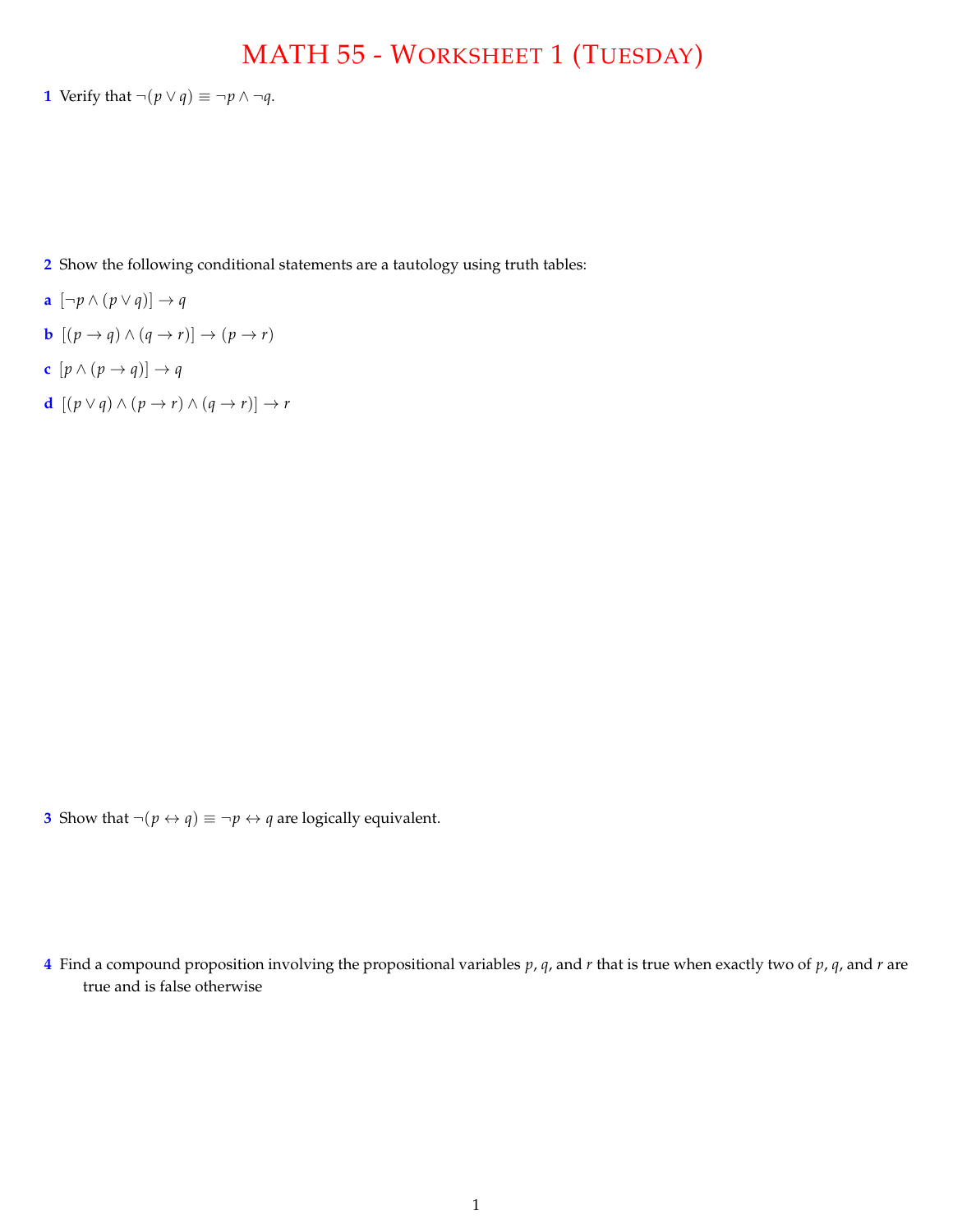## MATH 55 - WORKSHEET 1 (TUESDAY)

**1** Verify that  $\neg(p \lor q) \equiv \neg p \land \neg q$ .

**2** Show the following conditional statements are a tautology using truth tables:

- **a**  $[\neg p \land (p \lor q)] \rightarrow q$
- **b**  $[(p \rightarrow q) \land (q \rightarrow r)] \rightarrow (p \rightarrow r)$
- **c**  $[p \wedge (p \rightarrow q)] \rightarrow q$
- **d**  $[(p \lor q) \land (p \rightarrow r) \land (q \rightarrow r)] \rightarrow r$

**3** Show that  $\neg(p \leftrightarrow q) \equiv \neg p \leftrightarrow q$  are logically equivalent.

**4** Find a compound proposition involving the propositional variables *p*, *q*, and *r* that is true when exactly two of *p*, *q*, and *r* are true and is false otherwise